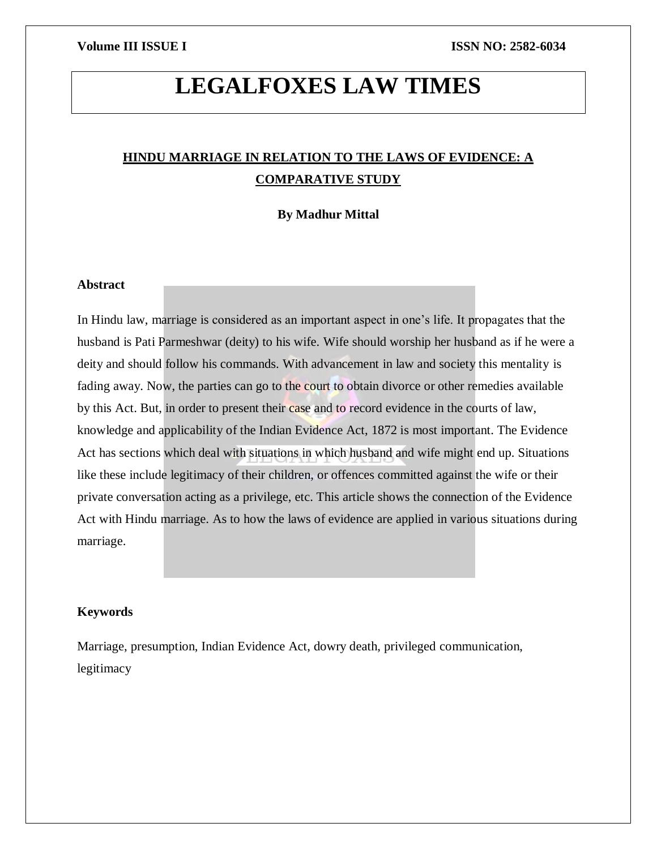# **LEGALFOXES LAW TIMES**

## **HINDU MARRIAGE IN RELATION TO THE LAWS OF EVIDENCE: A COMPARATIVE STUDY**

**By Madhur Mittal**

#### **Abstract**

In Hindu law, marriage is considered as an important aspect in one's life. It propagates that the husband is Pati Parmeshwar (deity) to his wife. Wife should worship her husband as if he were a deity and should follow his commands. With advancement in law and society this mentality is fading away. Now, the parties can go to the court to obtain divorce or other remedies available by this Act. But, in order to present their case and to record evidence in the courts of law, knowledge and applicability of the Indian Evidence Act, 1872 is most important. The Evidence Act has sections which deal with situations in which husband and wife might end up. Situations like these include legitimacy of their children, or offences committed against the wife or their private conversation acting as a privilege, etc. This article shows the connection of the Evidence Act with Hindu marriage. As to how the laws of evidence are applied in various situations during marriage.

#### **Keywords**

Marriage, presumption, Indian Evidence Act, dowry death, privileged communication, legitimacy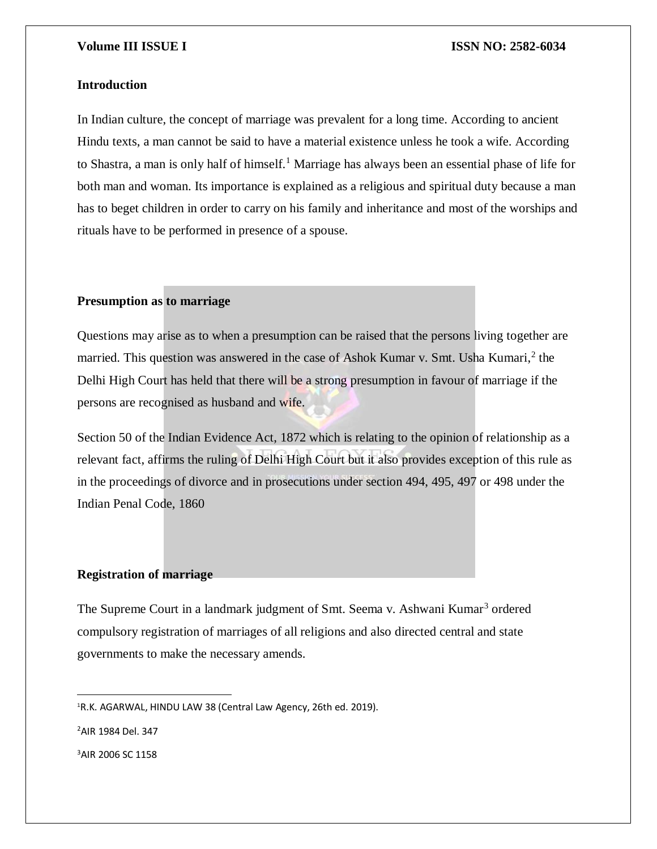#### **Introduction**

In Indian culture, the concept of marriage was prevalent for a long time. According to ancient Hindu texts, a man cannot be said to have a material existence unless he took a wife. According to Shastra, a man is only half of himself.<sup>1</sup> Marriage has always been an essential phase of life for both man and woman. Its importance is explained as a religious and spiritual duty because a man has to beget children in order to carry on his family and inheritance and most of the worships and rituals have to be performed in presence of a spouse.

### **Presumption as to marriage**

Questions may arise as to when a presumption can be raised that the persons living together are married. This question was answered in the case of Ashok Kumar v. Smt. Usha Kumari,<sup>2</sup> the Delhi High Court has held that there will be a strong presumption in favour of marriage if the persons are recognised as husband and wife.

Section 50 of the Indian Evidence Act, 1872 which is relating to the opinion of relationship as a relevant fact, affirms the ruling of Delhi High Court but it also provides exception of this rule as in the proceedings of divorce and in prosecutions under section 494, 495, 497 or 498 under the Indian Penal Code, 1860

#### **Registration of marriage**

The Supreme Court in a landmark judgment of Smt. Seema v. Ashwani Kumar<sup>3</sup> ordered compulsory registration of marriages of all religions and also directed central and state governments to make the necessary amends.

<sup>2</sup>AIR 1984 Del. 347

 $\overline{a}$ 

3AIR 2006 SC 1158

<sup>1</sup>R.K. AGARWAL, HINDU LAW 38 (Central Law Agency, 26th ed. 2019).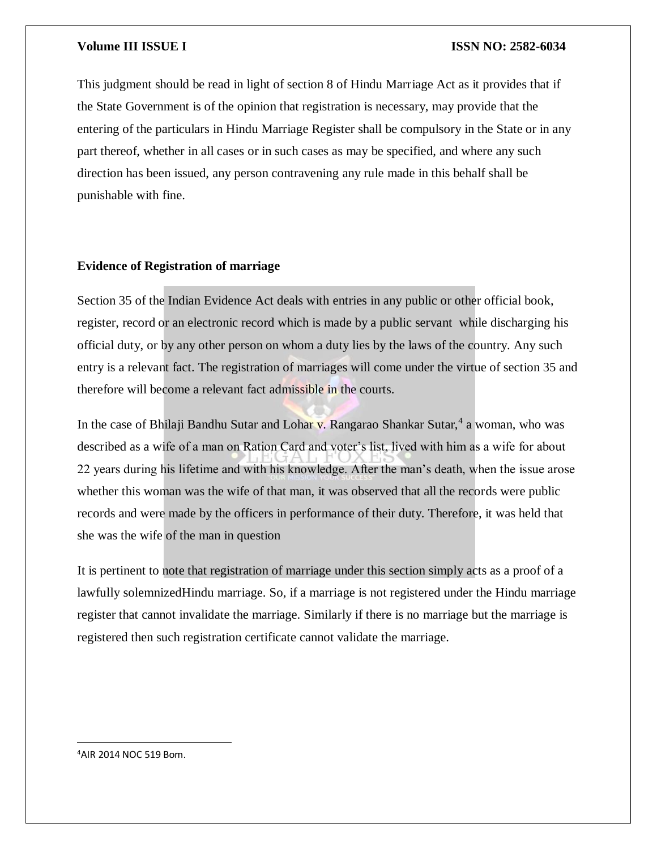This judgment should be read in light of section 8 of Hindu Marriage Act as it provides that if the State Government is of the opinion that registration is necessary, may provide that the entering of the particulars in Hindu Marriage Register shall be compulsory in the State or in any part thereof, whether in all cases or in such cases as may be specified, and where any such direction has been issued, any person contravening any rule made in this behalf shall be punishable with fine.

### **Evidence of Registration of marriage**

Section 35 of the Indian Evidence Act deals with entries in any public or other official book, register, record or an electronic record which is made by a public servant while discharging his official duty, or by any other person on whom a duty lies by the laws of the country. Any such entry is a relevant fact. The registration of marriages will come under the virtue of section 35 and therefore will become a relevant fact admissible in the courts.

In the case of Bhilaji Bandhu Sutar and Lohar v. Rangarao Shankar Sutar,<sup>4</sup> a woman, who was described as a wife of a man on Ration Card and voter's list, lived with him as a wife for about 22 years during his lifetime and with his knowledge. After the man's death, when the issue arose whether this woman was the wife of that man, it was observed that all the records were public records and were made by the officers in performance of their duty. Therefore, it was held that she was the wife of the man in question

It is pertinent to note that registration of marriage under this section simply acts as a proof of a lawfully solemnizedHindu marriage. So, if a marriage is not registered under the Hindu marriage register that cannot invalidate the marriage. Similarly if there is no marriage but the marriage is registered then such registration certificate cannot validate the marriage.

4AIR 2014 NOC 519 Bom.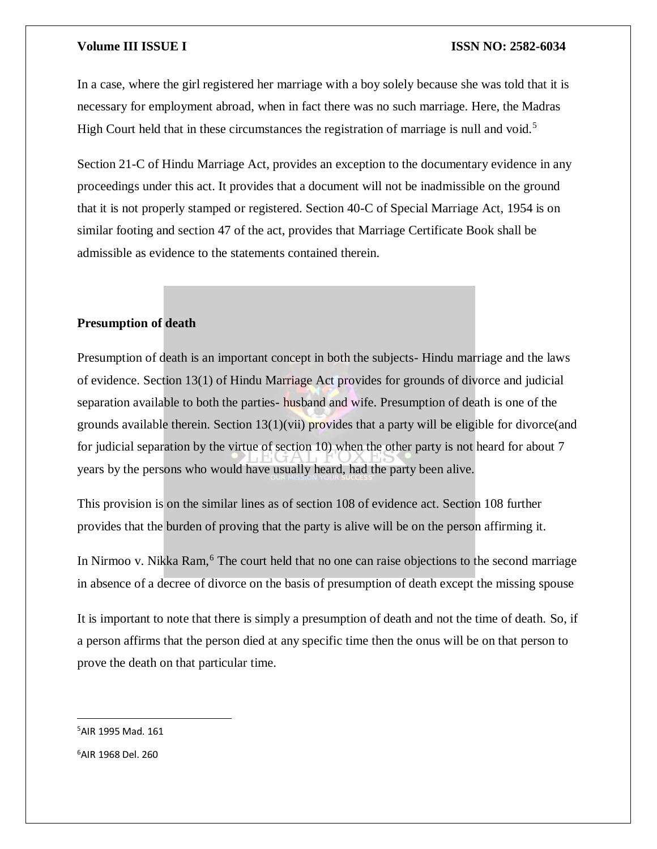In a case, where the girl registered her marriage with a boy solely because she was told that it is necessary for employment abroad, when in fact there was no such marriage. Here, the Madras High Court held that in these circumstances the registration of marriage is null and void.<sup>5</sup>

Section 21-C of Hindu Marriage Act, provides an exception to the documentary evidence in any proceedings under this act. It provides that a document will not be inadmissible on the ground that it is not properly stamped or registered. Section 40-C of Special Marriage Act, 1954 is on similar footing and section 47 of the act, provides that Marriage Certificate Book shall be admissible as evidence to the statements contained therein.

### **Presumption of death**

Presumption of death is an important concept in both the subjects- Hindu marriage and the laws of evidence. Section 13(1) of Hindu Marriage Act provides for grounds of divorce and judicial separation available to both the parties- husband and wife. Presumption of death is one of the grounds available therein. Section  $13(1)(vii)$  provides that a party will be eligible for divorce(and for judicial separation by the virtue of section 10) when the other party is not heard for about 7 years by the persons who would have usually heard, had the party been alive.

This provision is on the similar lines as of section 108 of evidence act. Section 108 further provides that the burden of proving that the party is alive will be on the person affirming it.

In Nirmoo v. Nikka Ram,<sup>6</sup> The court held that no one can raise objections to the second marriage in absence of a decree of divorce on the basis of presumption of death except the missing spouse

It is important to note that there is simply a presumption of death and not the time of death. So, if a person affirms that the person died at any specific time then the onus will be on that person to prove the death on that particular time.

<sup>5</sup>AIR 1995 Mad. 161

<sup>6</sup>AIR 1968 Del. 260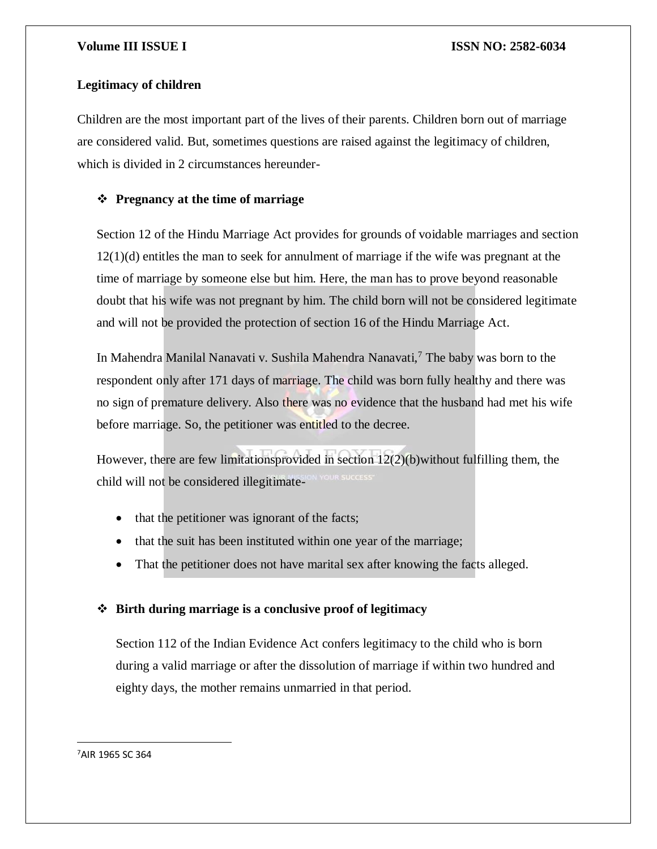### **Legitimacy of children**

Children are the most important part of the lives of their parents. Children born out of marriage are considered valid. But, sometimes questions are raised against the legitimacy of children, which is divided in 2 circumstances hereunder-

### **Pregnancy at the time of marriage**

Section 12 of the Hindu Marriage Act provides for grounds of voidable marriages and section 12(1)(d) entitles the man to seek for annulment of marriage if the wife was pregnant at the time of marriage by someone else but him. Here, the man has to prove beyond reasonable doubt that his wife was not pregnant by him. The child born will not be considered legitimate and will not be provided the protection of section 16 of the Hindu Marriage Act.

In Mahendra Manilal Nanavati v. Sushila Mahendra Nanavati,<sup>7</sup> The baby was born to the respondent only after 171 days of marriage. The child was born fully healthy and there was no sign of premature delivery. Also there was no evidence that the husband had met his wife before marriage. So, the petitioner was entitled to the decree.

However, there are few limitationsprovided in section 12(2)(b)without fulfilling them, the child will not be considered illegitimate-

- that the petitioner was ignorant of the facts;
- that the suit has been instituted within one year of the marriage;
- That the petitioner does not have marital sex after knowing the facts alleged.

### **Birth during marriage is a conclusive proof of legitimacy**

Section 112 of the Indian Evidence Act confers legitimacy to the child who is born during a valid marriage or after the dissolution of marriage if within two hundred and eighty days, the mother remains unmarried in that period.

<sup>7</sup>AIR 1965 SC 364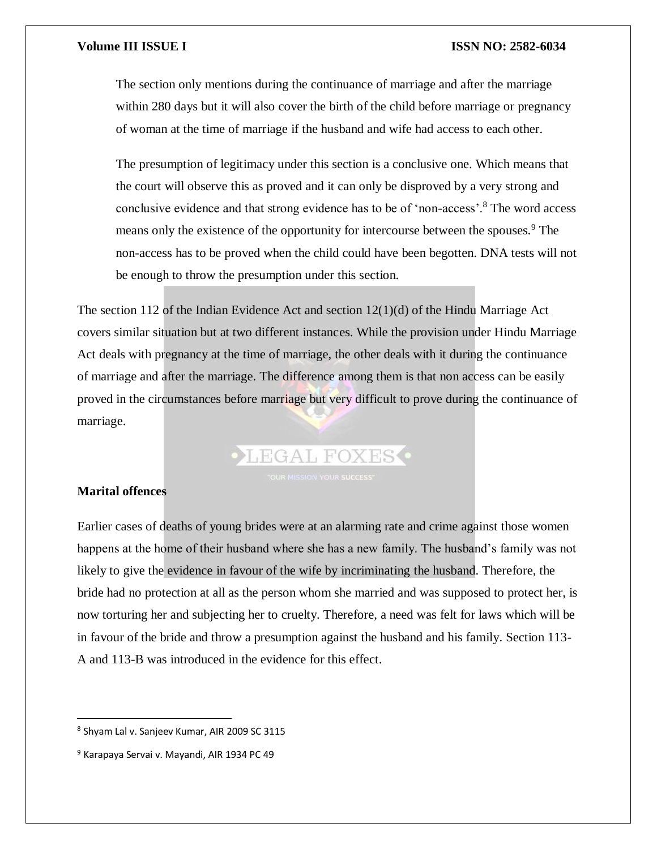The section only mentions during the continuance of marriage and after the marriage within 280 days but it will also cover the birth of the child before marriage or pregnancy of woman at the time of marriage if the husband and wife had access to each other.

The presumption of legitimacy under this section is a conclusive one. Which means that the court will observe this as proved and it can only be disproved by a very strong and conclusive evidence and that strong evidence has to be of 'non-access'.<sup>8</sup> The word access means only the existence of the opportunity for intercourse between the spouses.<sup>9</sup> The non-access has to be proved when the child could have been begotten. DNA tests will not be enough to throw the presumption under this section.

The section 112 of the Indian Evidence Act and section 12(1)(d) of the Hindu Marriage Act covers similar situation but at two different instances. While the provision under Hindu Marriage Act deals with pregnancy at the time of marriage, the other deals with it during the continuance of marriage and after the marriage. The difference among them is that non access can be easily proved in the circumstances before marriage but very difficult to prove during the continuance of marriage.

**LEGAL FOXES** 

### **Marital offences**

 $\overline{\phantom{a}}$ 

Earlier cases of deaths of young brides were at an alarming rate and crime against those women happens at the home of their husband where she has a new family. The husband's family was not likely to give the evidence in favour of the wife by incriminating the husband. Therefore, the bride had no protection at all as the person whom she married and was supposed to protect her, is now torturing her and subjecting her to cruelty. Therefore, a need was felt for laws which will be in favour of the bride and throw a presumption against the husband and his family. Section 113- A and 113-B was introduced in the evidence for this effect.

<sup>8</sup> Shyam Lal v. Sanjeev Kumar, AIR 2009 SC 3115

<sup>9</sup> Karapaya Servai v. Mayandi, AIR 1934 PC 49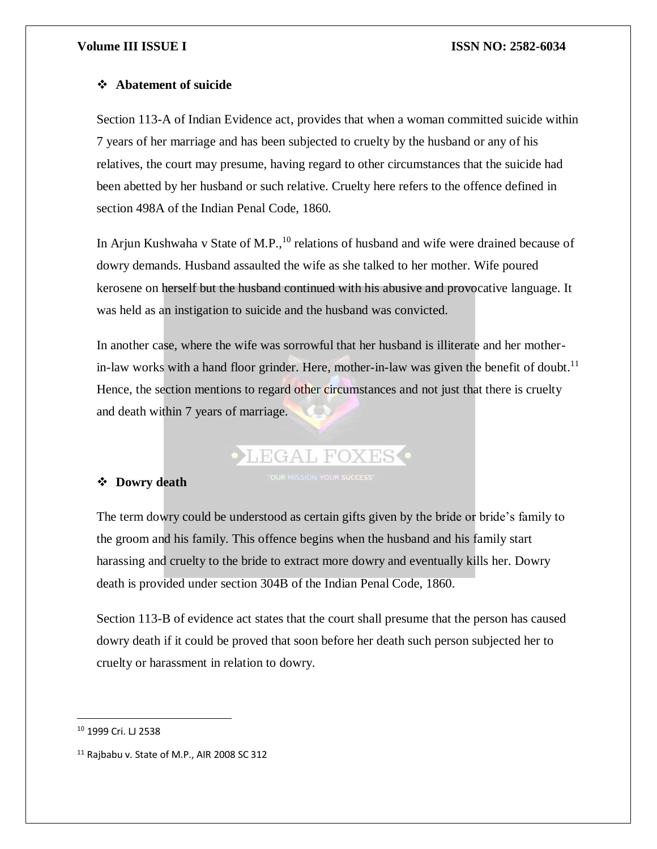### **Abatement of suicide**

Section 113-A of Indian Evidence act, provides that when a woman committed suicide within 7 years of her marriage and has been subjected to cruelty by the husband or any of his relatives, the court may presume, having regard to other circumstances that the suicide had been abetted by her husband or such relative. Cruelty here refers to the offence defined in section 498A of the Indian Penal Code, 1860.

In Arjun Kushwaha v State of M.P.,  $^{10}$  relations of husband and wife were drained because of dowry demands. Husband assaulted the wife as she talked to her mother. Wife poured kerosene on herself but the husband continued with his abusive and provocative language. It was held as an instigation to suicide and the husband was convicted.

In another case, where the wife was sorrowful that her husband is illiterate and her motherin-law works with a hand floor grinder. Here, mother-in-law was given the benefit of doubt.<sup>11</sup> Hence, the section mentions to regard other circumstances and not just that there is cruelty and death within 7 years of marriage.

## LEGAL FOXES<sup>.</sup>

### **Dowry death**

The term dowry could be understood as certain gifts given by the bride or bride's family to the groom and his family. This offence begins when the husband and his family start harassing and cruelty to the bride to extract more dowry and eventually kills her. Dowry death is provided under section 304B of the Indian Penal Code, 1860.

Section 113-B of evidence act states that the court shall presume that the person has caused dowry death if it could be proved that soon before her death such person subjected her to cruelty or harassment in relation to dowry.

<sup>10</sup> 1999 Cri. LJ 2538

<sup>&</sup>lt;sup>11</sup> Rajbabu v. State of M.P., AIR 2008 SC 312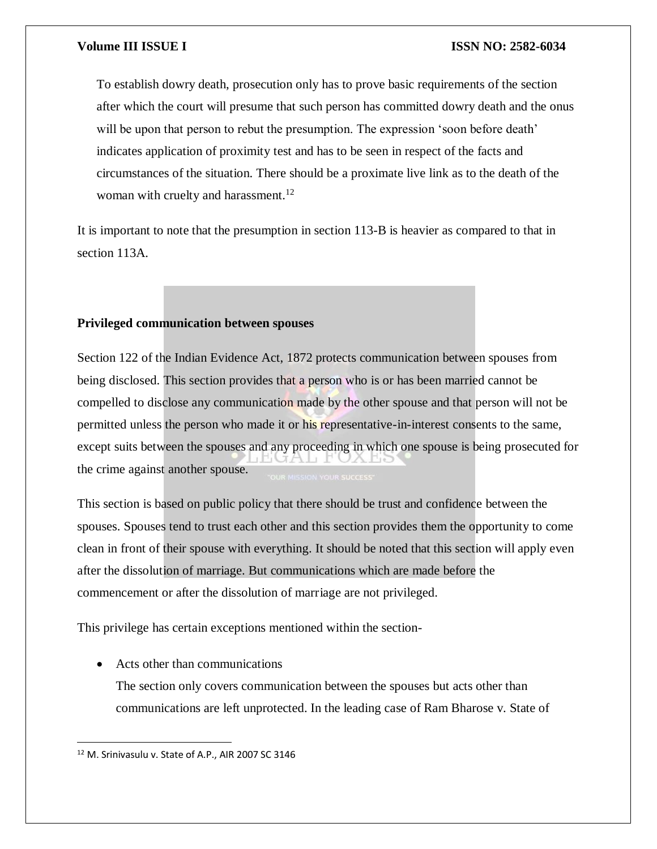To establish dowry death, prosecution only has to prove basic requirements of the section after which the court will presume that such person has committed dowry death and the onus will be upon that person to rebut the presumption. The expression 'soon before death' indicates application of proximity test and has to be seen in respect of the facts and circumstances of the situation. There should be a proximate live link as to the death of the woman with cruelty and harassment.<sup>12</sup>

It is important to note that the presumption in section 113-B is heavier as compared to that in section 113A.

### **Privileged communication between spouses**

Section 122 of the Indian Evidence Act, 1872 protects communication between spouses from being disclosed. This section provides that a person who is or has been married cannot be compelled to disclose any communication made by the other spouse and that person will not be permitted unless the person who made it or his representative-in-interest consents to the same, except suits between the spouses and any proceeding in which one spouse is being prosecuted for the crime against another spouse.

This section is based on public policy that there should be trust and confidence between the spouses. Spouses tend to trust each other and this section provides them the opportunity to come clean in front of their spouse with everything. It should be noted that this section will apply even after the dissolution of marriage. But communications which are made before the commencement or after the dissolution of marriage are not privileged.

This privilege has certain exceptions mentioned within the section-

• Acts other than communications The section only covers communication between the spouses but acts other than communications are left unprotected. In the leading case of Ram Bharose v. State of

<sup>12</sup> M. Srinivasulu v. State of A.P., AIR 2007 SC 3146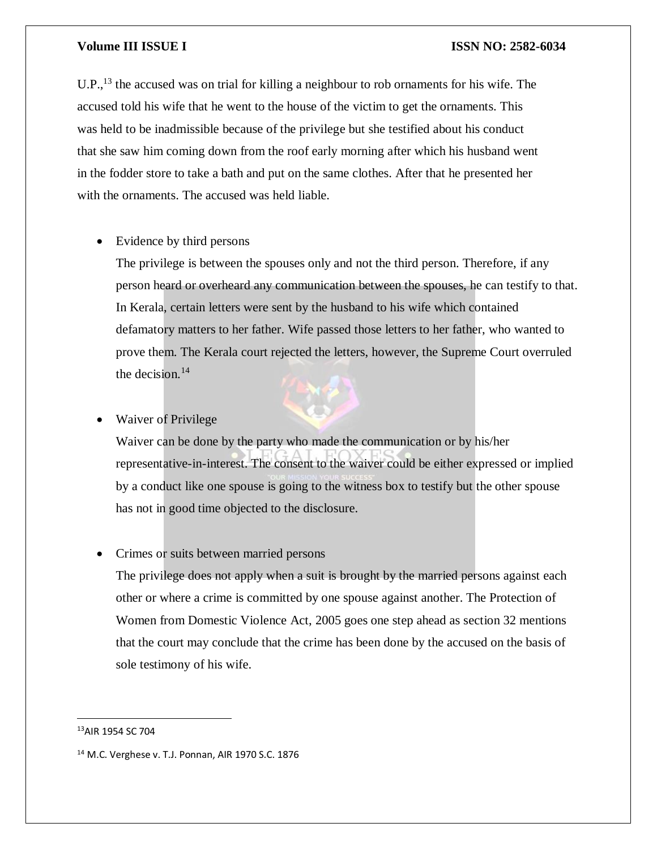U.P.,<sup>13</sup> the accused was on trial for killing a neighbour to rob ornaments for his wife. The accused told his wife that he went to the house of the victim to get the ornaments. This was held to be inadmissible because of the privilege but she testified about his conduct that she saw him coming down from the roof early morning after which his husband went in the fodder store to take a bath and put on the same clothes. After that he presented her with the ornaments. The accused was held liable.

• Evidence by third persons

The privilege is between the spouses only and not the third person. Therefore, if any person heard or overheard any communication between the spouses, he can testify to that. In Kerala, certain letters were sent by the husband to his wife which contained defamatory matters to her father. Wife passed those letters to her father, who wanted to prove them. The Kerala court rejected the letters, however, the Supreme Court overruled the decision. $14$ 

#### Waiver of Privilege

Waiver can be done by the party who made the communication or by his/her representative-in-interest. The consent to the waiver could be either expressed or implied by a conduct like one spouse is going to the witness box to testify but the other spouse has not in good time objected to the disclosure.

#### • Crimes or suits between married persons

The privilege does not apply when a suit is brought by the married persons against each other or where a crime is committed by one spouse against another. The Protection of Women from Domestic Violence Act, 2005 goes one step ahead as section 32 mentions that the court may conclude that the crime has been done by the accused on the basis of sole testimony of his wife.

<sup>13</sup>AIR 1954 SC 704

<sup>14</sup> M.C. Verghese v. T.J. Ponnan, AIR 1970 S.C. 1876